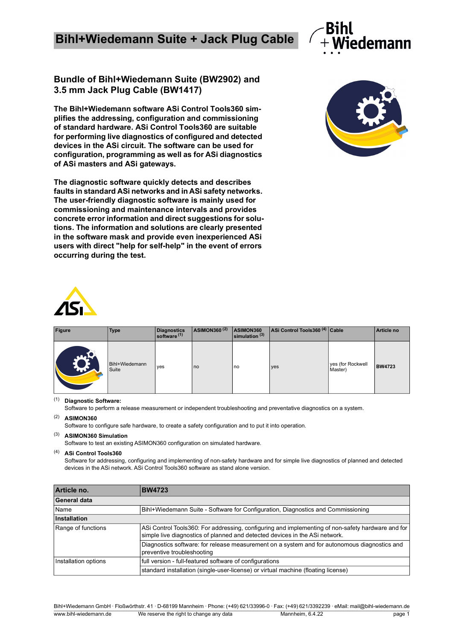## **Bihl+Wiedemann Suite + Jack Plug Cable**

## **Bundle of Bihl+Wiedemann Suite (BW2902) and**

**The Bihl+Wiedemann software ASi Control Tools360 simplifies the addressing, configuration and commissioning of standard hardware. ASi Control Tools360 are suitable for performing live diagnostics of configured and detected devices in the ASi circuit. The software can be used for configuration, programming as well as for ASi diagnostics of ASi masters and ASi gateways.**

**The diagnostic software quickly detects and describes faults in standard ASi networks and in ASi safety networks. The user-friendly diagnostic software is mainly used for commissioning and maintenance intervals and provides concrete error information and direct suggestions for solutions. The information and solutions are clearly presented in the software mask and provide even inexperienced ASi users with direct "help for self-help" in the event of errors occurring during the test.**

## **3.5 mm Jack Plug Cable (BW1417)**

| <b>Figure</b>      | <b>Type</b>             | Diagnostics<br>software <sup>(1)</sup> | <b>ASIMON360<sup>(2)</sup></b> | ASIMON360<br>$\mathsf{l}$ simulation $^{(3)}$ | ASi Control Tools360 <sup>(4)</sup> Cable |                              | Article no    |
|--------------------|-------------------------|----------------------------------------|--------------------------------|-----------------------------------------------|-------------------------------------------|------------------------------|---------------|
| <b>TALL</b><br>ANY | Bihl+Wiedemann<br>Suite | yes                                    | no                             | no                                            | yes                                       | yes (for Rockwell<br>Master) | <b>BW4723</b> |

(1) **Diagnostic Software:**

Software to perform a release measurement or independent troubleshooting and preventative diagnostics on a system.

(2) **ASIMON360**

Software to configure safe hardware, to create a safety configuration and to put it into operation.

(3) **ASIMON360 Simulation**

Software to test an existing ASIMON360 configuration on simulated hardware.

(4) **ASi Control Tools360**

Software for addressing, configuring and implementing of non-safety hardware and for simple live diagnostics of planned and detected devices in the ASi network. ASi Control Tools360 software as stand alone version.

| Article no.          | <b>BW4723</b>                                                                                                                                                                    |  |  |
|----------------------|----------------------------------------------------------------------------------------------------------------------------------------------------------------------------------|--|--|
| General data         |                                                                                                                                                                                  |  |  |
| Name                 | Bihl+Wiedemann Suite - Software for Configuration, Diagnostics and Commissioning                                                                                                 |  |  |
| Installation         |                                                                                                                                                                                  |  |  |
| Range of functions   | ASi Control Tools360: For addressing, configuring and implementing of non-safety hardware and for<br>simple live diagnostics of planned and detected devices in the ASi network. |  |  |
|                      | Diagnostics software: for release measurement on a system and for autonomous diagnostics and<br>preventive troubleshooting                                                       |  |  |
| Installation options | full version - full-featured software of configurations                                                                                                                          |  |  |
|                      | standard installation (single-user-license) or virtual machine (floating license)                                                                                                |  |  |